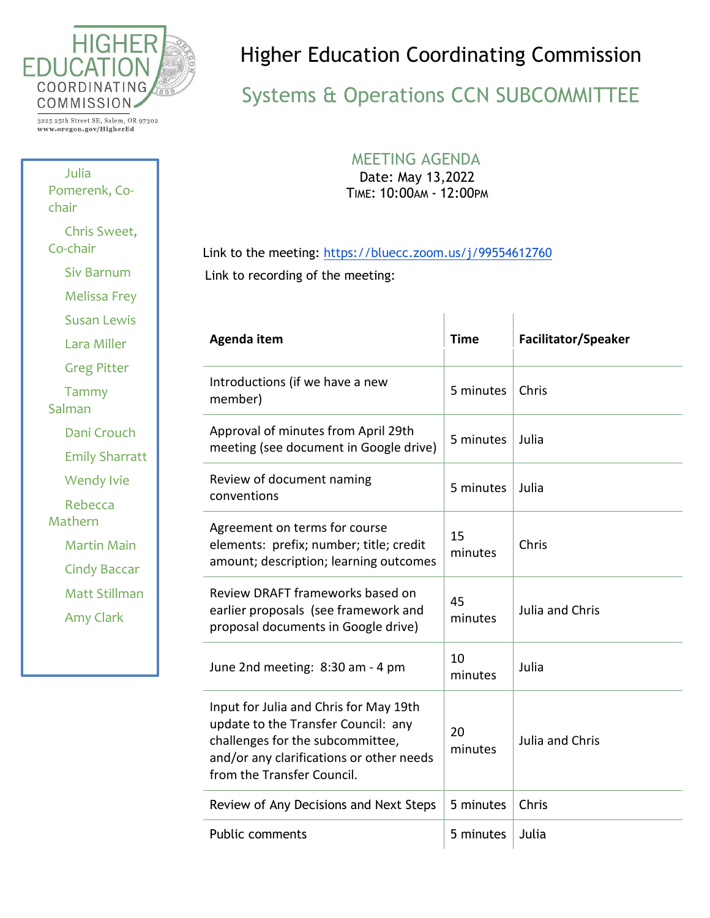

3225 25th Street SE, Salem, OR 97302 www.oregon.gov/HigherEd

Julia Pomerenk, Cochair Chris Sweet, Co-chair Siv Barnum Melissa Frey Susan Lewis Lara Miller Greg Pitter Tammy Salman Dani Crouch Emily Sharratt Wendy Ivie Rebecca Mathern Martin Main Cindy Baccar Matt Stillman Amy Clark

## Higher Education Coordinating Commission

## Systems & Operations CCN SUBCOMMITTEE

## MEETING AGENDA

Date: May 13,2022 TIME: 10:00AM - 12:00PM

Link to the meeting:<https://bluecc.zoom.us/j/99554612760> Link to recording of the meeting:

| Agenda item                                                                                                                                                                                 | <b>Time</b>   | <b>Facilitator/Speaker</b> |
|---------------------------------------------------------------------------------------------------------------------------------------------------------------------------------------------|---------------|----------------------------|
| Introductions (if we have a new<br>member)                                                                                                                                                  | 5 minutes     | Chris                      |
| Approval of minutes from April 29th<br>meeting (see document in Google drive)                                                                                                               | 5 minutes     | Julia                      |
| Review of document naming<br>conventions                                                                                                                                                    | 5 minutes     | Julia                      |
| Agreement on terms for course<br>elements: prefix; number; title; credit<br>amount; description; learning outcomes                                                                          | 15<br>minutes | Chris                      |
| Review DRAFT frameworks based on<br>earlier proposals (see framework and<br>proposal documents in Google drive)                                                                             | 45<br>minutes | Julia and Chris            |
| June 2nd meeting: 8:30 am - 4 pm                                                                                                                                                            | 10<br>minutes | Julia                      |
| Input for Julia and Chris for May 19th<br>update to the Transfer Council: any<br>challenges for the subcommittee,<br>and/or any clarifications or other needs<br>from the Transfer Council. | 20<br>minutes | Julia and Chris            |
| Review of Any Decisions and Next Steps                                                                                                                                                      | 5 minutes     | Chris                      |
| <b>Public comments</b>                                                                                                                                                                      | 5 minutes     | Julia                      |